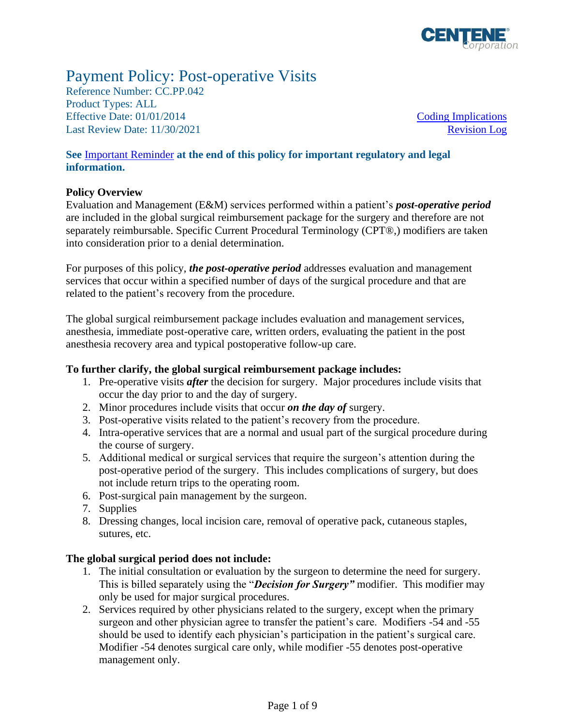

# Payment Policy: Post-operative Visits

Reference Number: CC.PP.042 Product Types: ALL Effective Date: 01/01/2014 [Coding Implications](#page-4-0) Last Review Date: 11/30/2021 [Revision Log](#page-7-0)

**See** [Important Reminder](#page-7-1) **at the end of this policy for important regulatory and legal information.**

### **Policy Overview**

Evaluation and Management (E&M) services performed within a patient's *post-operative period* are included in the global surgical reimbursement package for the surgery and therefore are not separately reimbursable. Specific Current Procedural Terminology (CPT®,) modifiers are taken into consideration prior to a denial determination.

For purposes of this policy, *the post-operative period* addresses evaluation and management services that occur within a specified number of days of the surgical procedure and that are related to the patient's recovery from the procedure.

The global surgical reimbursement package includes evaluation and management services, anesthesia, immediate post-operative care, written orders, evaluating the patient in the post anesthesia recovery area and typical postoperative follow-up care.

### **To further clarify, the global surgical reimbursement package includes:**

- 1. Pre-operative visits *after* the decision for surgery. Major procedures include visits that occur the day prior to and the day of surgery.
- 2. Minor procedures include visits that occur *on the day of* surgery.
- 3. Post-operative visits related to the patient's recovery from the procedure.
- 4. Intra-operative services that are a normal and usual part of the surgical procedure during the course of surgery.
- 5. Additional medical or surgical services that require the surgeon's attention during the post-operative period of the surgery. This includes complications of surgery, but does not include return trips to the operating room.
- 6. Post-surgical pain management by the surgeon.
- 7. Supplies
- 8. Dressing changes, local incision care, removal of operative pack, cutaneous staples, sutures, etc.

### **The global surgical period does not include:**

- 1. The initial consultation or evaluation by the surgeon to determine the need for surgery. This is billed separately using the "*Decision for Surgery"* modifier. This modifier may only be used for major surgical procedures.
- 2. Services required by other physicians related to the surgery, except when the primary surgeon and other physician agree to transfer the patient's care. Modifiers -54 and -55 should be used to identify each physician's participation in the patient's surgical care. Modifier -54 denotes surgical care only, while modifier -55 denotes post-operative management only.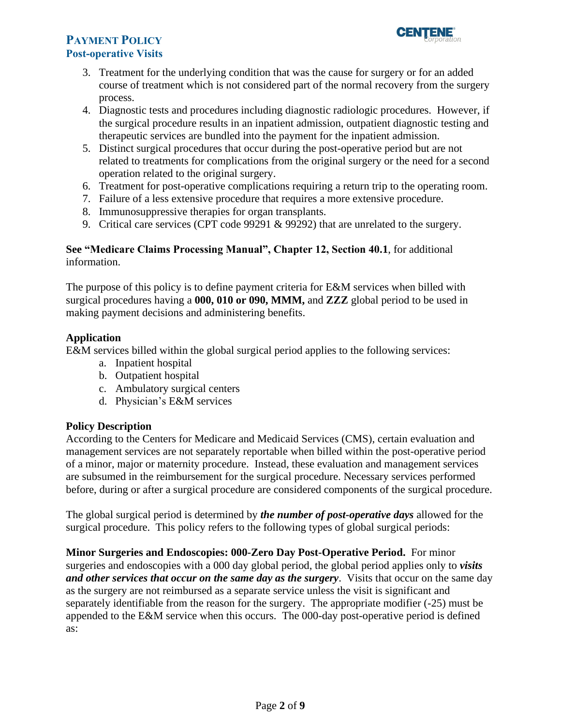

- 3. Treatment for the underlying condition that was the cause for surgery or for an added course of treatment which is not considered part of the normal recovery from the surgery process.
- 4. Diagnostic tests and procedures including diagnostic radiologic procedures. However, if the surgical procedure results in an inpatient admission, outpatient diagnostic testing and therapeutic services are bundled into the payment for the inpatient admission.
- 5. Distinct surgical procedures that occur during the post-operative period but are not related to treatments for complications from the original surgery or the need for a second operation related to the original surgery.
- 6. Treatment for post-operative complications requiring a return trip to the operating room.
- 7. Failure of a less extensive procedure that requires a more extensive procedure.
- 8. Immunosuppressive therapies for organ transplants.
- 9. Critical care services (CPT code 99291 & 99292) that are unrelated to the surgery.

### **See "Medicare Claims Processing Manual", Chapter 12, Section 40.1**, for additional information.

The purpose of this policy is to define payment criteria for E&M services when billed with surgical procedures having a **000, 010 or 090, MMM,** and **ZZZ** global period to be used in making payment decisions and administering benefits.

### **Application**

E&M services billed within the global surgical period applies to the following services:

- a. Inpatient hospital
- b. Outpatient hospital
- c. Ambulatory surgical centers
- d. Physician's E&M services

### **Policy Description**

According to the Centers for Medicare and Medicaid Services (CMS), certain evaluation and management services are not separately reportable when billed within the post-operative period of a minor, major or maternity procedure. Instead, these evaluation and management services are subsumed in the reimbursement for the surgical procedure. Necessary services performed before, during or after a surgical procedure are considered components of the surgical procedure.

The global surgical period is determined by *the number of post-operative days* allowed for the surgical procedure. This policy refers to the following types of global surgical periods:

**Minor Surgeries and Endoscopies: 000-Zero Day Post-Operative Period.** For minor surgeries and endoscopies with a 000 day global period, the global period applies only to *visits and other services that occur on the same day as the surgery*. Visits that occur on the same day as the surgery are not reimbursed as a separate service unless the visit is significant and separately identifiable from the reason for the surgery. The appropriate modifier (-25) must be appended to the E&M service when this occurs. The 000-day post-operative period is defined as: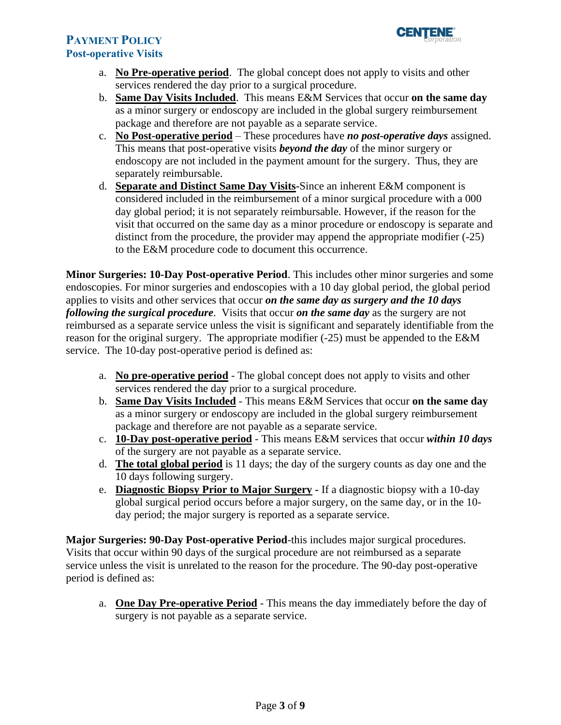

- a. **No Pre-operative period**. The global concept does not apply to visits and other services rendered the day prior to a surgical procedure.
- b. **Same Day Visits Included**. This means E&M Services that occur **on the same day** as a minor surgery or endoscopy are included in the global surgery reimbursement package and therefore are not payable as a separate service.
- c. **No Post-operative period** These procedures have *no post-operative days* assigned. This means that post-operative visits *beyond the day* of the minor surgery or endoscopy are not included in the payment amount for the surgery. Thus, they are separately reimbursable.
- d. **Separate and Distinct Same Day Visits-**Since an inherent E&M component is considered included in the reimbursement of a minor surgical procedure with a 000 day global period; it is not separately reimbursable. However, if the reason for the visit that occurred on the same day as a minor procedure or endoscopy is separate and distinct from the procedure, the provider may append the appropriate modifier (-25) to the E&M procedure code to document this occurrence.

**Minor Surgeries: 10-Day Post-operative Period**. This includes other minor surgeries and some endoscopies. For minor surgeries and endoscopies with a 10 day global period, the global period applies to visits and other services that occur *on the same day as surgery and the 10 days following the surgical procedure*. Visits that occur *on the same day* as the surgery are not reimbursed as a separate service unless the visit is significant and separately identifiable from the reason for the original surgery. The appropriate modifier (-25) must be appended to the E&M service. The 10-day post-operative period is defined as:

- a. **No pre-operative period** The global concept does not apply to visits and other services rendered the day prior to a surgical procedure.
- b. **Same Day Visits Included** This means E&M Services that occur **on the same day** as a minor surgery or endoscopy are included in the global surgery reimbursement package and therefore are not payable as a separate service.
- c. **10-Day post-operative period** This means E&M services that occur *within 10 days* of the surgery are not payable as a separate service.
- d. **The total global period** is 11 days; the day of the surgery counts as day one and the 10 days following surgery.
- e. **Diagnostic Biopsy Prior to Major Surgery -** If a diagnostic biopsy with a 10-day global surgical period occurs before a major surgery, on the same day, or in the 10 day period; the major surgery is reported as a separate service.

**Major Surgeries: 90-Day Post-operative Period**-this includes major surgical procedures. Visits that occur within 90 days of the surgical procedure are not reimbursed as a separate service unless the visit is unrelated to the reason for the procedure. The 90-day post-operative period is defined as:

a. **One Day Pre-operative Period** - This means the day immediately before the day of surgery is not payable as a separate service.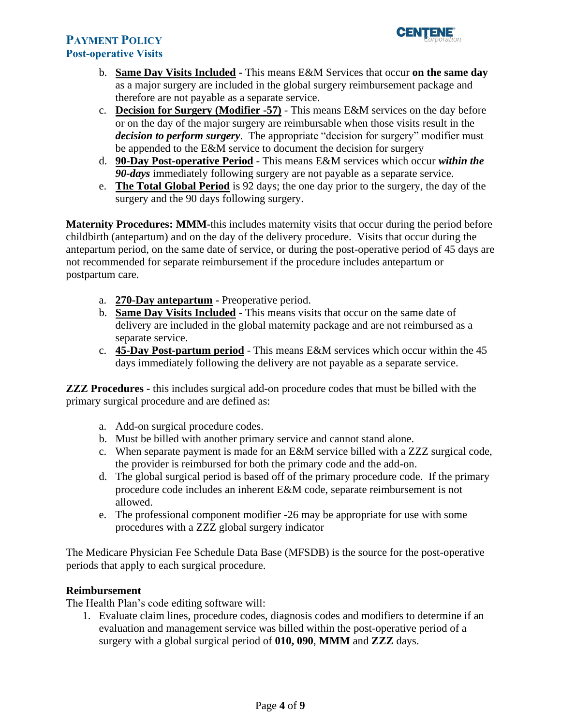- b. **Same Day Visits Included -** This means E&M Services that occur **on the same day** as a major surgery are included in the global surgery reimbursement package and therefore are not payable as a separate service.
- c. **Decision for Surgery (Modifier -57)** This means E&M services on the day before or on the day of the major surgery are reimbursable when those visits result in the *decision to perform surgery*. The appropriate "decision for surgery" modifier must be appended to the E&M service to document the decision for surgery
- d. **90-Day Post-operative Period** This means E&M services which occur *within the 90-days* immediately following surgery are not payable as a separate service.
- e. **The Total Global Period** is 92 days; the one day prior to the surgery, the day of the surgery and the 90 days following surgery.

**Maternity Procedures: MMM-**this includes maternity visits that occur during the period before childbirth (antepartum) and on the day of the delivery procedure. Visits that occur during the antepartum period, on the same date of service, or during the post-operative period of 45 days are not recommended for separate reimbursement if the procedure includes antepartum or postpartum care.

- a. **270-Day antepartum -** Preoperative period.
- b. **Same Day Visits Included** This means visits that occur on the same date of delivery are included in the global maternity package and are not reimbursed as a separate service.
- c. **45-Day Post-partum period** This means E&M services which occur within the 45 days immediately following the delivery are not payable as a separate service.

**ZZZ Procedures -** this includes surgical add-on procedure codes that must be billed with the primary surgical procedure and are defined as:

- a. Add-on surgical procedure codes.
- b. Must be billed with another primary service and cannot stand alone.
- c. When separate payment is made for an E&M service billed with a ZZZ surgical code, the provider is reimbursed for both the primary code and the add-on.
- d. The global surgical period is based off of the primary procedure code. If the primary procedure code includes an inherent E&M code, separate reimbursement is not allowed.
- e. The professional component modifier -26 may be appropriate for use with some procedures with a ZZZ global surgery indicator

The Medicare Physician Fee Schedule Data Base (MFSDB) is the source for the post-operative periods that apply to each surgical procedure.

### **Reimbursement**

The Health Plan's code editing software will:

1. Evaluate claim lines, procedure codes, diagnosis codes and modifiers to determine if an evaluation and management service was billed within the post-operative period of a surgery with a global surgical period of **010, 090**, **MMM** and **ZZZ** days.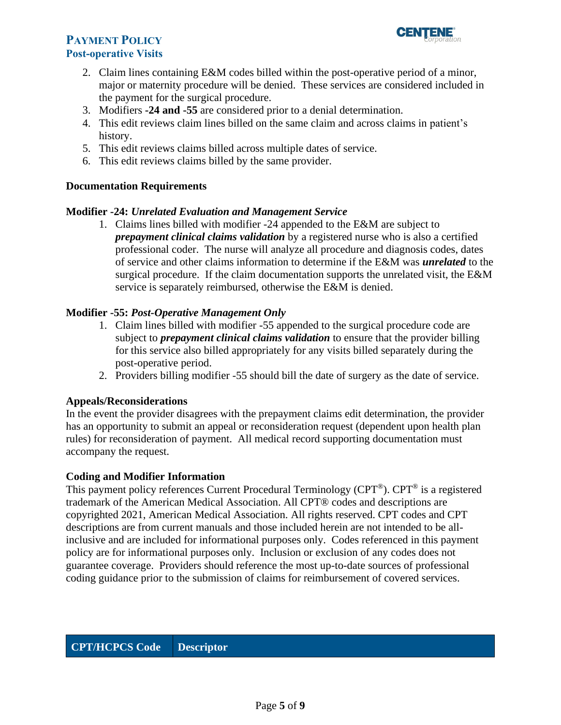

- 2. Claim lines containing E&M codes billed within the post-operative period of a minor, major or maternity procedure will be denied. These services are considered included in the payment for the surgical procedure.
- 3. Modifiers **-24 and -55** are considered prior to a denial determination.
- 4. This edit reviews claim lines billed on the same claim and across claims in patient's history.
- 5. This edit reviews claims billed across multiple dates of service.
- 6. This edit reviews claims billed by the same provider.

### **Documentation Requirements**

### **Modifier -24:** *Unrelated Evaluation and Management Service*

1. Claims lines billed with modifier -24 appended to the E&M are subject to *prepayment clinical claims validation* by a registered nurse who is also a certified professional coder. The nurse will analyze all procedure and diagnosis codes, dates of service and other claims information to determine if the E&M was *unrelated* to the surgical procedure. If the claim documentation supports the unrelated visit, the E&M service is separately reimbursed, otherwise the E&M is denied.

### **Modifier -55:** *Post-Operative Management Only*

- 1. Claim lines billed with modifier -55 appended to the surgical procedure code are subject to *prepayment clinical claims validation* to ensure that the provider billing for this service also billed appropriately for any visits billed separately during the post-operative period.
- <span id="page-4-0"></span>2. Providers billing modifier -55 should bill the date of surgery as the date of service.

### **Appeals/Reconsiderations**

In the event the provider disagrees with the prepayment claims edit determination, the provider has an opportunity to submit an appeal or reconsideration request (dependent upon health plan rules) for reconsideration of payment. All medical record supporting documentation must accompany the request.

### **Coding and Modifier Information**

This payment policy references Current Procedural Terminology (CPT®). CPT® is a registered trademark of the American Medical Association. All CPT® codes and descriptions are copyrighted 2021, American Medical Association. All rights reserved. CPT codes and CPT descriptions are from current manuals and those included herein are not intended to be allinclusive and are included for informational purposes only. Codes referenced in this payment policy are for informational purposes only. Inclusion or exclusion of any codes does not guarantee coverage. Providers should reference the most up-to-date sources of professional coding guidance prior to the submission of claims for reimbursement of covered services.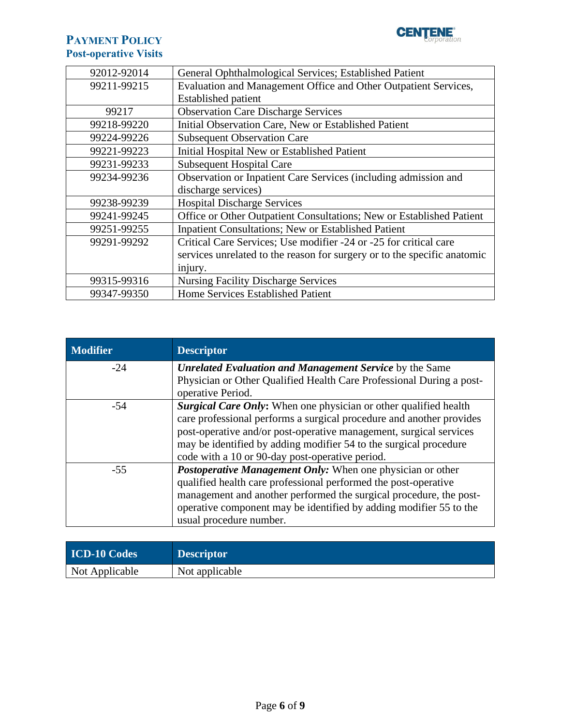

| 92012-92014 | General Ophthalmological Services; Established Patient                   |
|-------------|--------------------------------------------------------------------------|
| 99211-99215 | Evaluation and Management Office and Other Outpatient Services,          |
|             | <b>Established patient</b>                                               |
| 99217       | <b>Observation Care Discharge Services</b>                               |
| 99218-99220 | Initial Observation Care, New or Established Patient                     |
| 99224-99226 | <b>Subsequent Observation Care</b>                                       |
| 99221-99223 | Initial Hospital New or Established Patient                              |
| 99231-99233 | <b>Subsequent Hospital Care</b>                                          |
| 99234-99236 | Observation or Inpatient Care Services (including admission and          |
|             | discharge services)                                                      |
| 99238-99239 | <b>Hospital Discharge Services</b>                                       |
| 99241-99245 | Office or Other Outpatient Consultations; New or Established Patient     |
| 99251-99255 | <b>Inpatient Consultations; New or Established Patient</b>               |
| 99291-99292 | Critical Care Services; Use modifier -24 or -25 for critical care        |
|             | services unrelated to the reason for surgery or to the specific anatomic |
|             | injury.                                                                  |
| 99315-99316 | <b>Nursing Facility Discharge Services</b>                               |
| 99347-99350 | Home Services Established Patient                                        |

| <b>Modifier</b> | <b>Descriptor</b>                                                    |
|-----------------|----------------------------------------------------------------------|
| $-24$           | <b>Unrelated Evaluation and Management Service by the Same</b>       |
|                 | Physician or Other Qualified Health Care Professional During a post- |
|                 | operative Period.                                                    |
| -54             | Surgical Care Only: When one physician or other qualified health     |
|                 | care professional performs a surgical procedure and another provides |
|                 | post-operative and/or post-operative management, surgical services   |
|                 | may be identified by adding modifier 54 to the surgical procedure    |
|                 | code with a 10 or 90-day post-operative period.                      |
| $-55$           | <b>Postoperative Management Only:</b> When one physician or other    |
|                 | qualified health care professional performed the post-operative      |
|                 | management and another performed the surgical procedure, the post-   |
|                 | operative component may be identified by adding modifier 55 to the   |
|                 | usual procedure number.                                              |

| <b>ICD-10 Codes</b> | <b>Descriptor</b> |
|---------------------|-------------------|
| Not Applicable      | Not applicable    |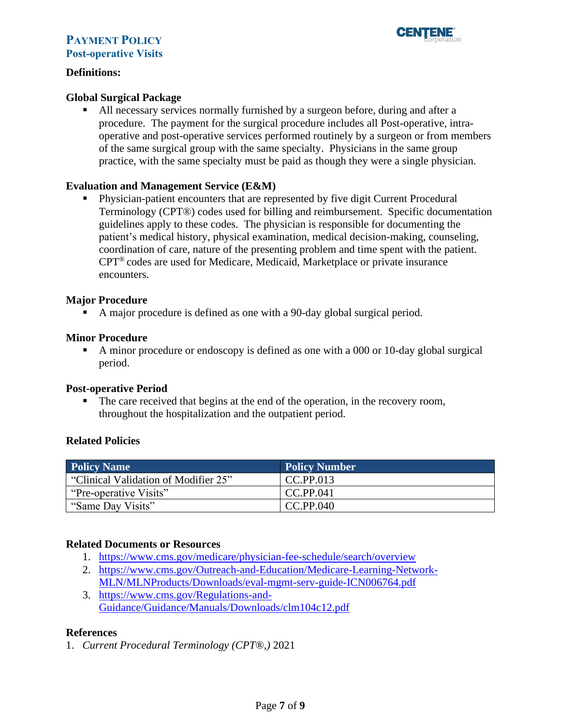

### **Definitions:**

### **Global Surgical Package**

▪ All necessary services normally furnished by a surgeon before, during and after a procedure. The payment for the surgical procedure includes all Post-operative, intraoperative and post-operative services performed routinely by a surgeon or from members of the same surgical group with the same specialty. Physicians in the same group practice, with the same specialty must be paid as though they were a single physician.

### **Evaluation and Management Service (E&M)**

▪ Physician-patient encounters that are represented by five digit Current Procedural Terminology (CPT®) codes used for billing and reimbursement. Specific documentation guidelines apply to these codes. The physician is responsible for documenting the patient's medical history, physical examination, medical decision-making, counseling, coordination of care, nature of the presenting problem and time spent with the patient. CPT® codes are used for Medicare, Medicaid, Marketplace or private insurance encounters.

### **Major Procedure**

▪ A major procedure is defined as one with a 90-day global surgical period.

### **Minor Procedure**

■ A minor procedure or endoscopy is defined as one with a 000 or 10-day global surgical period.

### **Post-operative Period**

The care received that begins at the end of the operation, in the recovery room, throughout the hospitalization and the outpatient period.

### **Related Policies**

| <b>Policy Name</b>                   | Policy Number |
|--------------------------------------|---------------|
| "Clinical Validation of Modifier 25" | CC.PP.013     |
| "Pre-operative Visits"               | CC.PP.041     |
| "Same Day Visits"                    | CC.PP.040     |

### **Related Documents or Resources**

- 1. <https://www.cms.gov/medicare/physician-fee-schedule/search/overview>
- 2. [https://www.cms.gov/Outreach-and-Education/Medicare-Learning-Network-](https://www.cms.gov/Outreach-and-Education/Medicare-Learning-Network-MLN/MLNProducts/Downloads/eval-mgmt-serv-guide-ICN006764.pdf)[MLN/MLNProducts/Downloads/eval-mgmt-serv-guide-ICN006764.pdf](https://www.cms.gov/Outreach-and-Education/Medicare-Learning-Network-MLN/MLNProducts/Downloads/eval-mgmt-serv-guide-ICN006764.pdf)
- 3. [https://www.cms.gov/Regulations-and-](https://www.cms.gov/Regulations-and-Guidance/Guidance/Manuals/Downloads/clm104c12.pdf)[Guidance/Guidance/Manuals/Downloads/clm104c12.pdf](https://www.cms.gov/Regulations-and-Guidance/Guidance/Manuals/Downloads/clm104c12.pdf)

### **References**

1. *Current Procedural Terminology (CPT*®,*)* 2021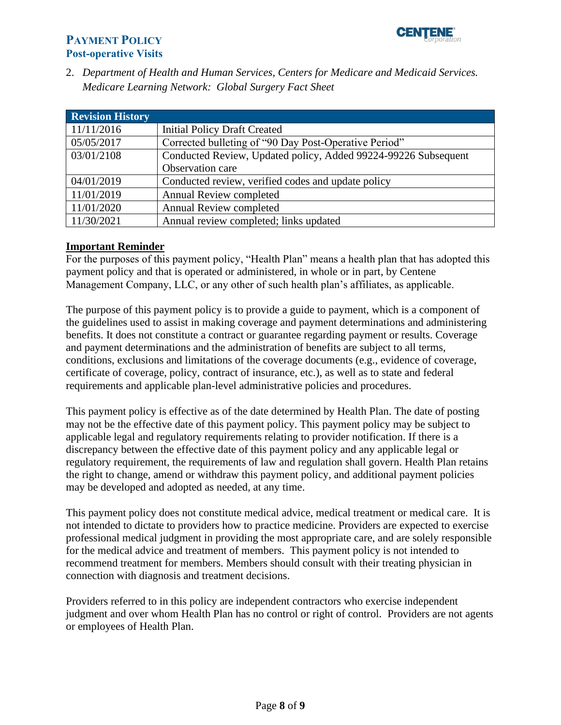

2. *Department of Health and Human Services, Centers for Medicare and Medicaid Services. Medicare Learning Network: Global Surgery Fact Sheet*

<span id="page-7-0"></span>

| <b>Revision History</b> |                                                                |
|-------------------------|----------------------------------------------------------------|
| 11/11/2016              | <b>Initial Policy Draft Created</b>                            |
| 05/05/2017              | Corrected bulleting of "90 Day Post-Operative Period"          |
| 03/01/2108              | Conducted Review, Updated policy, Added 99224-99226 Subsequent |
|                         | Observation care                                               |
| 04/01/2019              | Conducted review, verified codes and update policy             |
| 11/01/2019              | <b>Annual Review completed</b>                                 |
| 11/01/2020              | Annual Review completed                                        |
| 11/30/2021              | Annual review completed; links updated                         |

### <span id="page-7-1"></span>**Important Reminder**

For the purposes of this payment policy, "Health Plan" means a health plan that has adopted this payment policy and that is operated or administered, in whole or in part, by Centene Management Company, LLC, or any other of such health plan's affiliates, as applicable.

The purpose of this payment policy is to provide a guide to payment, which is a component of the guidelines used to assist in making coverage and payment determinations and administering benefits. It does not constitute a contract or guarantee regarding payment or results. Coverage and payment determinations and the administration of benefits are subject to all terms, conditions, exclusions and limitations of the coverage documents (e.g., evidence of coverage, certificate of coverage, policy, contract of insurance, etc.), as well as to state and federal requirements and applicable plan-level administrative policies and procedures.

This payment policy is effective as of the date determined by Health Plan. The date of posting may not be the effective date of this payment policy. This payment policy may be subject to applicable legal and regulatory requirements relating to provider notification. If there is a discrepancy between the effective date of this payment policy and any applicable legal or regulatory requirement, the requirements of law and regulation shall govern. Health Plan retains the right to change, amend or withdraw this payment policy, and additional payment policies may be developed and adopted as needed, at any time.

This payment policy does not constitute medical advice, medical treatment or medical care. It is not intended to dictate to providers how to practice medicine. Providers are expected to exercise professional medical judgment in providing the most appropriate care, and are solely responsible for the medical advice and treatment of members. This payment policy is not intended to recommend treatment for members. Members should consult with their treating physician in connection with diagnosis and treatment decisions.

Providers referred to in this policy are independent contractors who exercise independent judgment and over whom Health Plan has no control or right of control. Providers are not agents or employees of Health Plan.